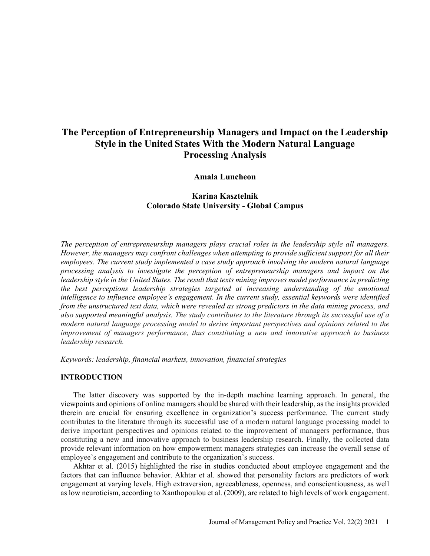# **The Perception of Entrepreneurship Managers and Impact on the Leadership Style in the United States With the Modern Natural Language Processing Analysis**

# **Amala Luncheon**

# **Karina Kasztelnik Colorado State University - Global Campus**

*The perception of entrepreneurship managers plays crucial roles in the leadership style all managers. However, the managers may confront challenges when attempting to provide sufficient support for all their employees. The current study implemented a case study approach involving the modern natural language processing analysis to investigate the perception of entrepreneurship managers and impact on the leadership style in the United States. The result that texts mining improves model performance in predicting the best perceptions leadership strategies targeted at increasing understanding of the emotional intelligence to influence employee's engagement. In the current study, essential keywords were identified from the unstructured text data, which were revealed as strong predictors in the data mining process, and also supported meaningful analysis. The study contributes to the literature through its successful use of a modern natural language processing model to derive important perspectives and opinions related to the improvement of managers performance, thus constituting a new and innovative approach to business leadership research.* 

*Keywords: leadership, financial markets, innovation, financial strategies*

# **INTRODUCTION**

The latter discovery was supported by the in-depth machine learning approach. In general, the viewpoints and opinions of online managers should be shared with their leadership, as the insights provided therein are crucial for ensuring excellence in organization's success performance. The current study contributes to the literature through its successful use of a modern natural language processing model to derive important perspectives and opinions related to the improvement of managers performance, thus constituting a new and innovative approach to business leadership research. Finally, the collected data provide relevant information on how empowerment managers strategies can increase the overall sense of employee's engagement and contribute to the organization's success.

Akhtar et al. (2015) highlighted the rise in studies conducted about employee engagement and the factors that can influence behavior. Akhtar et al. showed that personality factors are predictors of work engagement at varying levels. High extraversion, agreeableness, openness, and conscientiousness, as well as low neuroticism, according to Xanthopoulou et al. (2009), are related to high levels of work engagement.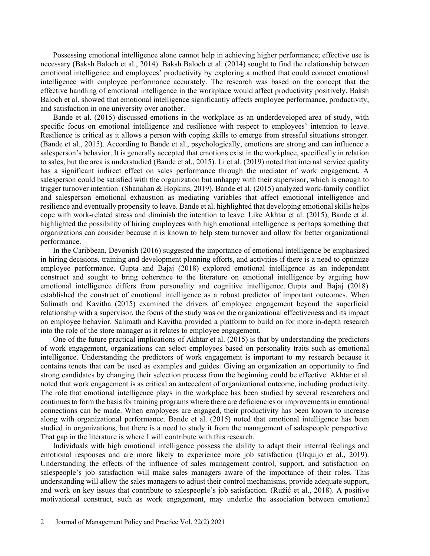Possessing emotional intelligence alone cannot help in achieving higher performance; effective use is necessary (Baksh Baloch et al., 2014). Baksh Baloch et al. (2014) sought to find the relationship between emotional intelligence and employees' productivity by exploring a method that could connect emotional intelligence with employee performance accurately. The research was based on the concept that the effective handling of emotional intelligence in the workplace would affect productivity positively. Baksh Baloch et al. showed that emotional intelligence significantly affects employee performance, productivity, and satisfaction in one university over another.

Bande et al. (2015) discussed emotions in the workplace as an underdeveloped area of study, with specific focus on emotional intelligence and resilience with respect to employees' intention to leave. Resilience is critical as it allows a person with coping skills to emerge from stressful situations stronger. (Bande et al., 2015). According to Bande et al., psychologically, emotions are strong and can influence a salesperson's behavior. It is generally accepted that emotions exist in the workplace, specifically in relation to sales, but the area is understudied (Bande et al., 2015). Li et al. (2019) noted that internal service quality has a significant indirect effect on sales performance through the mediator of work engagement. A salesperson could be satisfied with the organization but unhappy with their supervisor, which is enough to trigger turnover intention. (Shanahan & Hopkins, 2019). Bande et al. (2015) analyzed work-family conflict and salesperson emotional exhaustion as mediating variables that affect emotional intelligence and resilience and eventually propensity to leave. Bande et al. highlighted that developing emotional skills helps cope with work-related stress and diminish the intention to leave. Like Akhtar et al. (2015), Bande et al. highlighted the possibility of hiring employees with high emotional intelligence is perhaps something that organizations can consider because it is known to help stem turnover and allow for better organizational performance.

In the Caribbean, Devonish (2016) suggested the importance of emotional intelligence be emphasized in hiring decisions, training and development planning efforts, and activities if there is a need to optimize employee performance. Gupta and Bajaj (2018) explored emotional intelligence as an independent construct and sought to bring coherence to the literature on emotional intelligence by arguing how emotional intelligence differs from personality and cognitive intelligence. Gupta and Bajaj (2018) established the construct of emotional intelligence as a robust predictor of important outcomes. When Salimath and Kavitha (2015) examined the drivers of employee engagement beyond the superficial relationship with a supervisor, the focus of the study was on the organizational effectiveness and its impact on employee behavior. Salimath and Kavitha provided a platform to build on for more in-depth research into the role of the store manager as it relates to employee engagement.

One of the future practical implications of Akhtar et al. (2015) is that by understanding the predictors of work engagement, organizations can select employees based on personality traits such as emotional intelligence. Understanding the predictors of work engagement is important to my research because it contains tenets that can be used as examples and guides. Giving an organization an opportunity to find strong candidates by changing their selection process from the beginning could be effective. Akhtar et al. noted that work engagement is as critical an antecedent of organizational outcome, including productivity. The role that emotional intelligence plays in the workplace has been studied by several researchers and continues to form the basis for training programs where there are deficiencies or improvements in emotional connections can be made. When employees are engaged, their productivity has been known to increase along with organizational performance. Bande et al. (2015) noted that emotional intelligence has been studied in organizations, but there is a need to study it from the management of salespeople perspective. That gap in the literature is where I will contribute with this research.

Individuals with high emotional intelligence possess the ability to adapt their internal feelings and emotional responses and are more likely to experience more job satisfaction (Urquijo et al., 2019). Understanding the effects of the influence of sales management control, support, and satisfaction on salespeople's job satisfaction will make sales managers aware of the importance of their roles. This understanding will allow the sales managers to adjust their control mechanisms, provide adequate support, and work on key issues that contribute to salespeople's job satisfaction. (Ružić et al., 2018). A positive motivational construct, such as work engagement, may underlie the association between emotional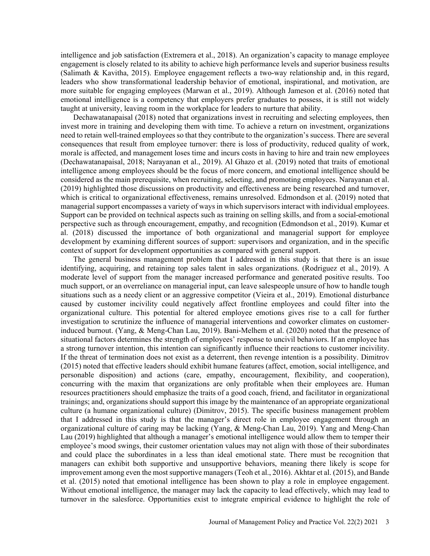intelligence and job satisfaction (Extremera et al., 2018). An organization's capacity to manage employee engagement is closely related to its ability to achieve high performance levels and superior business results (Salimath & Kavitha, 2015). Employee engagement reflects a two-way relationship and, in this regard, leaders who show transformational leadership behavior of emotional, inspirational, and motivation, are more suitable for engaging employees (Marwan et al., 2019). Although Jameson et al. (2016) noted that emotional intelligence is a competency that employers prefer graduates to possess, it is still not widely taught at university, leaving room in the workplace for leaders to nurture that ability.

Dechawatanapaisal (2018) noted that organizations invest in recruiting and selecting employees, then invest more in training and developing them with time. To achieve a return on investment, organizations need to retain well-trained employees so that they contribute to the organization's success. There are several consequences that result from employee turnover: there is loss of productivity, reduced quality of work, morale is affected, and management loses time and incurs costs in having to hire and train new employees (Dechawatanapaisal, 2018; Narayanan et al., 2019). Al Ghazo et al. (2019) noted that traits of emotional intelligence among employees should be the focus of more concern, and emotional intelligence should be considered as the main prerequisite, when recruiting, selecting, and promoting employees. Narayanan et al. (2019) highlighted those discussions on productivity and effectiveness are being researched and turnover, which is critical to organizational effectiveness, remains unresolved. Edmondson et al. (2019) noted that managerial support encompasses a variety of ways in which supervisors interact with individual employees. Support can be provided on technical aspects such as training on selling skills, and from a social-emotional perspective such as through encouragement, empathy, and recognition (Edmondson et al., 2019). Kumar et al. (2018) discussed the importance of both organizational and managerial support for employee development by examining different sources of support: supervisors and organization, and in the specific context of support for development opportunities as compared with general support.

The general business management problem that I addressed in this study is that there is an issue identifying, acquiring, and retaining top sales talent in sales organizations. (Rodriguez et al., 2019). A moderate level of support from the manager increased performance and generated positive results. Too much support, or an overreliance on managerial input, can leave salespeople unsure of how to handle tough situations such as a needy client or an aggressive competitor (Vieira et al., 2019). Emotional disturbance caused by customer incivility could negatively affect frontline employees and could filter into the organizational culture. This potential for altered employee emotions gives rise to a call for further investigation to scrutinize the influence of managerial interventions and coworker climates on customerinduced burnout. (Yang, & Meng-Chan Lau, 2019). Bani-Melhem et al. (2020) noted that the presence of situational factors determines the strength of employees' response to uncivil behaviors. If an employee has a strong turnover intention, this intention can significantly influence their reactions to customer incivility. If the threat of termination does not exist as a deterrent, then revenge intention is a possibility. Dimitrov (2015) noted that effective leaders should exhibit humane features (affect, emotion, social intelligence, and personable disposition) and actions (care, empathy, encouragement, flexibility, and cooperation), concurring with the maxim that organizations are only profitable when their employees are. Human resources practitioners should emphasize the traits of a good coach, friend, and facilitator in organizational trainings; and, organizations should support this image by the maintenance of an appropriate organizational culture (a humane organizational culture) (Dimitrov, 2015). The specific business management problem that I addressed in this study is that the manager's direct role in employee engagement through an organizational culture of caring may be lacking (Yang, & Meng-Chan Lau, 2019). Yang and Meng-Chan Lau (2019) highlighted that although a manager's emotional intelligence would allow them to temper their employee's mood swings, their customer orientation values may not align with those of their subordinates and could place the subordinates in a less than ideal emotional state. There must be recognition that managers can exhibit both supportive and unsupportive behaviors, meaning there likely is scope for improvement among even the most supportive managers (Teoh et al., 2016). Akhtar et al. (2015), and Bande et al. (2015) noted that emotional intelligence has been shown to play a role in employee engagement. Without emotional intelligence, the manager may lack the capacity to lead effectively, which may lead to turnover in the salesforce. Opportunities exist to integrate empirical evidence to highlight the role of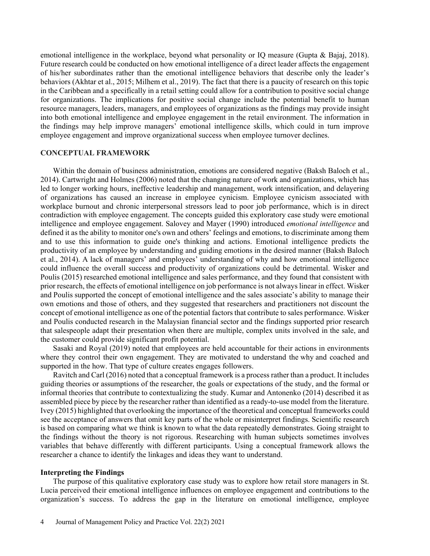emotional intelligence in the workplace, beyond what personality or IQ measure (Gupta & Bajaj, 2018). Future research could be conducted on how emotional intelligence of a direct leader affects the engagement of his/her subordinates rather than the emotional intelligence behaviors that describe only the leader's behaviors (Akhtar et al., 2015; Milhem et al., 2019). The fact that there is a paucity of research on this topic in the Caribbean and a specifically in a retail setting could allow for a contribution to positive social change for organizations. The implications for positive social change include the potential benefit to human resource managers, leaders, managers, and employees of organizations as the findings may provide insight into both emotional intelligence and employee engagement in the retail environment. The information in the findings may help improve managers' emotional intelligence skills, which could in turn improve employee engagement and improve organizational success when employee turnover declines.

### **CONCEPTUAL FRAMEWORK**

Within the domain of business administration, emotions are considered negative (Baksh Baloch et al., 2014). Cartwright and Holmes (2006) noted that the changing nature of work and organizations, which has led to longer working hours, ineffective leadership and management, work intensification, and delayering of organizations has caused an increase in employee cynicism. Employee cynicism associated with workplace burnout and chronic interpersonal stressors lead to poor job performance, which is in direct contradiction with employee engagement. The concepts guided this exploratory case study were emotional intelligence and employee engagement. Salovey and Mayer (1990) introduced *emotional intelligence* and defined it as the ability to monitor one's own and others' feelings and emotions, to discriminate among them and to use this information to guide one's thinking and actions. Emotional intelligence predicts the productivity of an employee by understanding and guiding emotions in the desired manner (Baksh Baloch et al., 2014). A lack of managers' and employees' understanding of why and how emotional intelligence could influence the overall success and productivity of organizations could be detrimental. Wisker and Poulis (2015) researched emotional intelligence and sales performance, and they found that consistent with prior research, the effects of emotional intelligence on job performance is not always linear in effect. Wisker and Poulis supported the concept of emotional intelligence and the sales associate's ability to manage their own emotions and those of others, and they suggested that researchers and practitioners not discount the concept of emotional intelligence as one of the potential factors that contribute to sales performance. Wisker and Poulis conducted research in the Malaysian financial sector and the findings supported prior research that salespeople adapt their presentation when there are multiple, complex units involved in the sale, and the customer could provide significant profit potential.

Sasaki and Royal (2019) noted that employees are held accountable for their actions in environments where they control their own engagement. They are motivated to understand the why and coached and supported in the how. That type of culture creates engages followers.

Ravitch and Carl (2016) noted that a conceptual framework is a process rather than a product. It includes guiding theories or assumptions of the researcher, the goals or expectations of the study, and the formal or informal theories that contribute to contextualizing the study. Kumar and Antonenko (2014) described it as assembled piece by piece by the researcher rather than identified as a ready-to-use model from the literature. Ivey (2015) highlighted that overlooking the importance of the theoretical and conceptual frameworks could see the acceptance of answers that omit key parts of the whole or misinterpret findings. Scientific research is based on comparing what we think is known to what the data repeatedly demonstrates. Going straight to the findings without the theory is not rigorous. Researching with human subjects sometimes involves variables that behave differently with different participants. Using a conceptual framework allows the researcher a chance to identify the linkages and ideas they want to understand.

#### **Interpreting the Findings**

The purpose of this qualitative exploratory case study was to explore how retail store managers in St. Lucia perceived their emotional intelligence influences on employee engagement and contributions to the organization's success. To address the gap in the literature on emotional intelligence, employee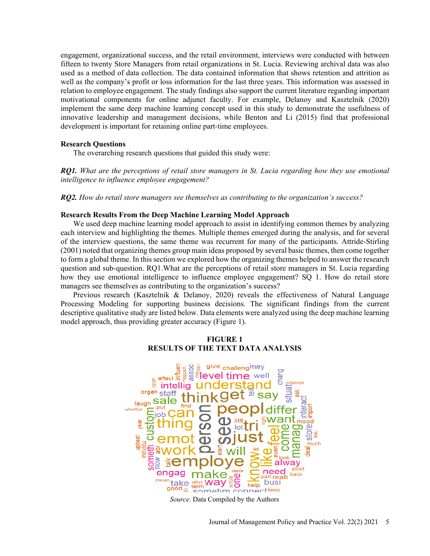engagement, organizational success, and the retail environment, interviews were conducted with between fifteen to twenty Store Managers from retail organizations in St. Lucia. Reviewing archival data was also used as a method of data collection. The data contained information that shows retention and attrition as well as the company's profit or loss information for the last three years. This information was assessed in relation to employee engagement. The study findings also support the current literature regarding important motivational components for online adjunct faculty. For example, Delanoy and Kasztelnik (2020) implement the same deep machine learning concept used in this study to demonstrate the usefulness of innovative leadership and management decisions, while Benton and Li (2015) find that professional development is important for retaining online part-time employees.

# **Research Questions**

The overarching research questions that guided this study were:

*RQ1. What are the perceptions of retail store managers in St. Lucia regarding how they use emotional intelligence to influence employee engagement?* 

*RQ2. How do retail store managers see themselves as contributing to the organization's success?*

#### **Research Results From the Deep Machine Learning Model Approach**

We used deep machine learning model approach to assist in identifying common themes by analyzing each interview and highlighting the themes. Multiple themes emerged during the analysis, and for several of the interview questions, the same theme was recurrent for many of the participants. Attride-Stirling (2001) noted that organizing themes group main ideas proposed by several basic themes, then come together to form a global theme. In this section we explored how the organizing themes helped to answer the research question and sub-question. RQ1.What are the perceptions of retail store managers in St. Lucia regarding how they use emotional intelligence to influence employee engagement? SQ 1. How do retail store managers see themselves as contributing to the organization's success?

Previous research (Kasztelnik & Delanoy, 2020) reveals the effectiveness of Natural Language Processing Modeling for supporting business decisions. The significant findings from the current descriptive qualitative study are listed below. Data elements were analyzed using the deep machine learning model approach, thus providing greater accuracy (Figure 1).

# **FIGURE 1 RESULTS OF THE TEXT DATA ANALYSIS**



*Source.* Data Compiled by the Authors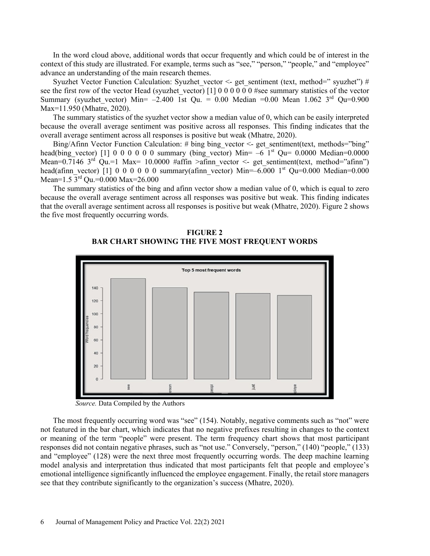In the word cloud above, additional words that occur frequently and which could be of interest in the context of this study are illustrated. For example, terms such as "see," "person," "people," and "employee" advance an understanding of the main research themes.

Syuzhet Vector Function Calculation: Syuzhet vector <- get sentiment (text, method=" syuzhet") # see the first row of the vector Head (syuzhet vector)  $[1] 0 0 0 0 0 0 0 0$  #see summary statistics of the vector Summary (syuzhet vector) Min= –2.400 1st Qu. = 0.00 Median =0.00 Mean 1.062 3<sup>rd</sup> Qu=0.900 Max=11.950 (Mhatre, 2020).

The summary statistics of the syuzhet vector show a median value of 0, which can be easily interpreted because the overall average sentiment was positive across all responses. This finding indicates that the overall average sentiment across all responses is positive but weak (Mhatre, 2020).

Bing/Afinn Vector Function Calculation: # bing bing vector <- get sentiment(text, methods="bing" head(bing vector) [1] 0 0 0 0 0 0 summary (bing vector) Min=  $-6$  1<sup>st</sup> Qu= 0.0000 Median=0.0000 Mean=0.7146 3<sup>rd</sup> Qu.=1 Max= 10.0000 #affin >afinn vector <- get sentiment(text, method="afinn") head(afinn vector) [1] 0 0 0 0 0 0 summary(afinn vector) Min=–6.000 1st Qu=0.000 Median=0.000 Mean= $1.5 \overline{3}^{rd}$  Qu.= $0.000$  Max= $26.000$ 

The summary statistics of the bing and afinn vector show a median value of 0, which is equal to zero because the overall average sentiment across all responses was positive but weak. This finding indicates that the overall average sentiment across all responses is positive but weak (Mhatre, 2020). Figure 2 shows the five most frequently occurring words.





 *Source.* Data Compiled by the Authors

The most frequently occurring word was "see" (154). Notably, negative comments such as "not" were not featured in the bar chart, which indicates that no negative prefixes resulting in changes to the context or meaning of the term "people" were present. The term frequency chart shows that most participant responses did not contain negative phrases, such as "not use." Conversely, "person," (140) "people," (133) and "employee" (128) were the next three most frequently occurring words. The deep machine learning model analysis and interpretation thus indicated that most participants felt that people and employee's emotional intelligence significantly influenced the employee engagement. Finally, the retail store managers see that they contribute significantly to the organization's success (Mhatre, 2020).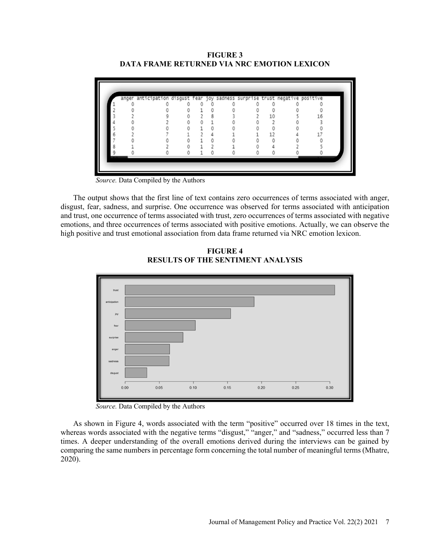**FIGURE 3 DATA FRAME RETURNED VIA NRC EMOTION LEXICON**

|  | anger anticipation disgust fear joy sadness surprise trust negative positive |  |  |  |    |
|--|------------------------------------------------------------------------------|--|--|--|----|
|  |                                                                              |  |  |  |    |
|  |                                                                              |  |  |  |    |
|  |                                                                              |  |  |  | 16 |
|  |                                                                              |  |  |  |    |
|  |                                                                              |  |  |  |    |
|  |                                                                              |  |  |  |    |
|  |                                                                              |  |  |  |    |
|  |                                                                              |  |  |  |    |
|  |                                                                              |  |  |  |    |

 *Source.* Data Compiled by the Authors

The output shows that the first line of text contains zero occurrences of terms associated with anger, disgust, fear, sadness, and surprise. One occurrence was observed for terms associated with anticipation and trust, one occurrence of terms associated with trust, zero occurrences of terms associated with negative emotions, and three occurrences of terms associated with positive emotions. Actually, we can observe the high positive and trust emotional association from data frame returned via NRC emotion lexicon.



**FIGURE 4 RESULTS OF THE SENTIMENT ANALYSIS**

 *Source.* Data Compiled by the Authors

As shown in Figure 4, words associated with the term "positive" occurred over 18 times in the text, whereas words associated with the negative terms "disgust," "anger," and "sadness," occurred less than 7 times. A deeper understanding of the overall emotions derived during the interviews can be gained by comparing the same numbers in percentage form concerning the total number of meaningful terms (Mhatre, 2020).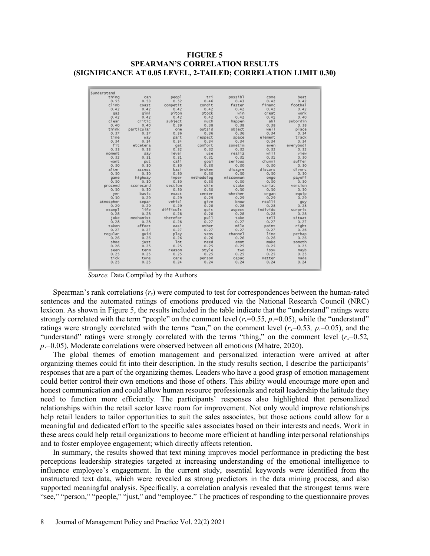# **FIGURE 5 SPEARMAN'S CORRELATION RESULTS (SIGNIFICANCE AT 0.05 LEVEL, 2-TAILED; CORRELATION LIMIT 0.30)**

| Sunderstand |            |           |            |           |          |           |
|-------------|------------|-----------|------------|-----------|----------|-----------|
| thing       | can        | peopl     | tri        | possibl   | come     | beat      |
| 0.55        | 0.53       | 0.52      | 0.46       | 0.43      | 0.42     | 0.42      |
| climb       | coast      | competit  | condit     | faster    | financ   | footbal   |
| 0.42        | 0.42       | 0.42      | 0.42       | 0.42      | 0.42     | 0.42      |
| gas         | gimi       | piton     | stock      | win       | creat    | work      |
| 0.42        | 0.42       | 0.42      | 0.42       | 0.42      | 0.41     | 0.40      |
| clear       | critic     | subject   | much       | happen    | ab1      | subordin  |
| 0.40        | 0.40       | 0.39      | 0.38       | 0.38      | 0.38     | 0.38      |
| think       | particular | one       | outsid     | object    | well     | place     |
| 0.37        | 0.37       | 0.36      | 0.36       | 0.36      | 0.34     | 0.34      |
| time        | way        | part      | respect    | space     | element  | track     |
| 0.34        | 0.34       | 0.34      | 0.34       | 0.34      | 0.34     | 0.34      |
| fit         | etcetera   | get       | comfort    | sometim   | even     | everybodi |
| 0.33        | 0.33       | 0.32      | 0.32       | 0.32      | 0.32     | 0.32      |
| moment      | say        | level     | use        | realiz    | wi11     | view      |
| 0.32        | 0.31       | 0.31      | 0.31       | 0.31      | 0.31     | 0.30      |
| want        | put        | ca11      | goal       | serious   | chummi   | suffer    |
| 0.30        | 0.30       | 0.30      | 0.30       | 0.30      | 0.30     | 0.30      |
| alter       | assess     | basi      | broken     | disagre   | discurs  | divorc    |
| 0.30        | 0.30       | 0.30      | 0.30       | 0.30      | 0.30     | 0.30      |
| game        | highway    | imper     | methodolog | miscommun | ongo     | payoff    |
| 0.30        | 0.30       | 0.30      | 0.30       | 0.30      | 0.30     | 0.30      |
| proceed     | scorecard  | section   | skin       | stake     | variat   | version   |
| 0.30        | 0.30       | 0.30      | 0.30       | 0.30      | 0.30     | 0.30      |
| ver         | basic      | exact     | center     | whether   | organ    | equip     |
| 0.30        | 0.29       | 0.29      | 0.29       | 0.29      | 0.29     | 0.29      |
| atmospher   | separ      | vehicl    | give       | know      | realli   | quy       |
| 0.29        | 0.29       | 0.29      | 0.28       | 0.28      | 0.28     | 0.28      |
| exampl      | life       | difficult | quit       | aspect    | individu | surpris   |
| 0.28        | 0.28       | 0.28      | 0.28       | 0.28      | 0.28     | 0.28      |
| ioke        | mechanist  | therefor  | pull       | take      | tell     | situat    |
| 0.28        | 0.28       | 0.28      | 0.27       | 0.27      | 0.27     | 0.27      |
| taken       | affect     | easi      | other      | mile      | point    | right     |
| 0.27        | 0.27       | 0.27      | 0.27       | 0.27      | 0.27     | 0.26      |
| regular     | quid       | play      | sens       | channel   | line     | perhap    |
| 0.26        | 0.26       | 0.26      | 0.26       | 0.26      | 0.26     | 0.26      |
| shoe        | iust       | 1ot       | need       | emot      | make     | someth    |
| 0.26        | 0.25       | 0.25      | 0.25       | 0.25      | 0.25     | 0.25      |
| seen        | term       | reason    | style      | two       | issu     | mayb      |
| 0.25        | 0.25       | 0.25      | 0.25       | 0.25      | 0.25     | 0.25      |
| tick        | tune       | care      | person     | capac     | matter   | made      |
| 0.25        | 0.25       | 0.24      | 0.24       | 0.24      | 0.24     | 0.24      |

 *Source.* Data Compiled by the Authors

Spearman's rank correlations  $(r<sub>s</sub>)$  were computed to test for correspondences between the human-rated sentences and the automated ratings of emotions produced via the National Research Council (NRC) lexicon. As shown in Figure 5, the results included in the table indicate that the "understand" ratings were strongly correlated with the term "people" on the comment level  $(r_x=0.55, p=0.05)$ , while the "understand" ratings were strongly correlated with the terms "can," on the comment level  $(r_x=0.53, p=0.05)$ , and the "understand" ratings were strongly correlated with the terms "thing," on the comment level  $(r_x=0.52,$ *p*.=0.05), Moderate correlations were observed between all emotions (Mhatre, 2020).

The global themes of emotion management and personalized interaction were arrived at after organizing themes could fit into their description. In the study results section, I describe the participants' responses that are a part of the organizing themes. Leaders who have a good grasp of emotion management could better control their own emotions and those of others. This ability would encourage more open and honest communication and could allow human resource professionals and retail leadership the latitude they need to function more efficiently. The participants' responses also highlighted that personalized relationships within the retail sector leave room for improvement. Not only would improve relationships help retail leaders to tailor opportunities to suit the sales associates, but those actions could allow for a meaningful and dedicated effort to the specific sales associates based on their interests and needs. Work in these areas could help retail organizations to become more efficient at handling interpersonal relationships and to foster employee engagement; which directly affects retention.

In summary, the results showed that text mining improves model performance in predicting the best perceptions leadership strategies targeted at increasing understanding of the emotional intelligence to influence employee's engagement. In the current study, essential keywords were identified from the unstructured text data, which were revealed as strong predictors in the data mining process, and also supported meaningful analysis. Specifically, a correlation analysis revealed that the strongest terms were "see," "person," "people," "just," and "employee." The practices of responding to the questionnaire proves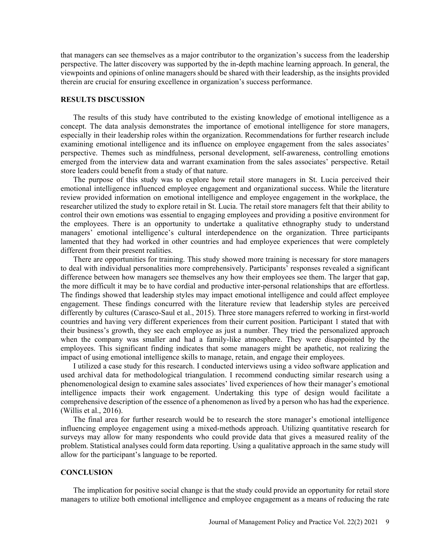that managers can see themselves as a major contributor to the organization's success from the leadership perspective. The latter discovery was supported by the in-depth machine learning approach. In general, the viewpoints and opinions of online managers should be shared with their leadership, as the insights provided therein are crucial for ensuring excellence in organization's success performance.

#### **RESULTS DISCUSSION**

The results of this study have contributed to the existing knowledge of emotional intelligence as a concept. The data analysis demonstrates the importance of emotional intelligence for store managers, especially in their leadership roles within the organization. Recommendations for further research include examining emotional intelligence and its influence on employee engagement from the sales associates' perspective. Themes such as mindfulness, personal development, self-awareness, controlling emotions emerged from the interview data and warrant examination from the sales associates' perspective. Retail store leaders could benefit from a study of that nature.

The purpose of this study was to explore how retail store managers in St. Lucia perceived their emotional intelligence influenced employee engagement and organizational success. While the literature review provided information on emotional intelligence and employee engagement in the workplace, the researcher utilized the study to explore retail in St. Lucia. The retail store managers felt that their ability to control their own emotions was essential to engaging employees and providing a positive environment for the employees. There is an opportunity to undertake a qualitative ethnography study to understand managers' emotional intelligence's cultural interdependence on the organization. Three participants lamented that they had worked in other countries and had employee experiences that were completely different from their present realities.

There are opportunities for training. This study showed more training is necessary for store managers to deal with individual personalities more comprehensively. Participants' responses revealed a significant difference between how managers see themselves any how their employees see them. The larger that gap, the more difficult it may be to have cordial and productive inter-personal relationships that are effortless. The findings showed that leadership styles may impact emotional intelligence and could affect employee engagement. These findings concurred with the literature review that leadership styles are perceived differently by cultures (Carasco-Saul et al., 2015). Three store managers referred to working in first-world countries and having very different experiences from their current position. Participant 1 stated that with their business's growth, they see each employee as just a number. They tried the personalized approach when the company was smaller and had a family-like atmosphere. They were disappointed by the employees. This significant finding indicates that some managers might be apathetic, not realizing the impact of using emotional intelligence skills to manage, retain, and engage their employees.

I utilized a case study for this research. I conducted interviews using a video software application and used archival data for methodological triangulation. I recommend conducting similar research using a phenomenological design to examine sales associates' lived experiences of how their manager's emotional intelligence impacts their work engagement. Undertaking this type of design would facilitate a comprehensive description of the essence of a phenomenon as lived by a person who has had the experience. (Willis et al., 2016).

The final area for further research would be to research the store manager's emotional intelligence influencing employee engagement using a mixed-methods approach. Utilizing quantitative research for surveys may allow for many respondents who could provide data that gives a measured reality of the problem. Statistical analyses could form data reporting. Using a qualitative approach in the same study will allow for the participant's language to be reported.

# **CONCLUSION**

The implication for positive social change is that the study could provide an opportunity for retail store managers to utilize both emotional intelligence and employee engagement as a means of reducing the rate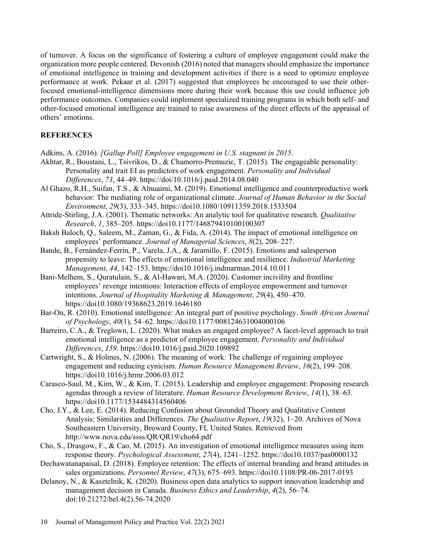of turnover. A focus on the significance of fostering a culture of employee engagement could make the organization more people centered. Devonish (2016) noted that managers should emphasize the importance of emotional intelligence in training and development activities if there is a need to optimize employee performance at work. Pekaar et al. (2017) suggested that employees be encouraged to use their otherfocused emotional-intelligence dimensions more during their work because this use could influence job performance outcomes. Companies could implement specialized training programs in which both self- and other-focused emotional intelligence are trained to raise awareness of the direct effects of the appraisal of others' emotions.

# **REFERENCES**

- Adkins, A. (2016). *[Gallup Poll] Employee engagement in U.S. stagnant in 2015*.
- Akhtar, R., Boustani, L., Tsivrikos, D., & Chamorro-Premuzic, T. (2015). The engageable personality: Personality and trait EI as predictors of work engagement. *Personality and Individual Differences*, *73*, 44–49. https://doi/10.1016/j.paid.2014.08.040
- Al Ghazo, R.H., Suifan, T.S., & Alnuaimi, M. (2019). Emotional intelligence and counterproductive work behavior: The mediating role of organizational climate. *Journal of Human Behavior in the Social Environment*, *29*(3), 333–345. https://doi10.1080/10911359.2018.1533504
- Attride-Stirling, J.A. (2001). Thematic networks: An analytic tool for qualitative research. *Qualitative Research*, *1*, 385–205. https://doi10.1177/146879410100100307
- Baksh Baloch, Q., Saleem, M., Zaman, G., & Fida, A. (2014). The impact of emotional intelligence on employees' performance. *Journal of Managerial Sciences*, *8*(2), 208–227.
- Bande, B., Fernández-Ferrín, P., Varela, J.A., & Jaramillo, F. (2015). Emotions and salesperson propensity to leave: The effects of emotional intelligence and resilience. *Industrial Marketing Management*, *44*, 142–153. https://doi10.1016/j.indmarman.2014.10.011
- Bani-Melhem, S., Quratulain, S., & Al-Hawari, M.A. (2020). Customer incivility and frontline employees' revenge intentions: Interaction effects of employee empowerment and turnover intentions. *Journal of Hospitality Marketing & Management*, *29*(4), 450–470. https://doi10.1080/19368623.2019.1646180
- Bar-On, R. (2010). Emotional intelligence: An integral part of positive psychology. *South African Journal of Psychology*, *40*(1), 54–62. https://doi10.1177/008124631004000106
- Barreiro, C.A., & Treglown, L. (2020). What makes an engaged employee? A facet-level approach to trait emotional intelligence as a predictor of employee engagement. *Personality and Individual Differences*, *159*. https://doi10.1016/j.paid.2020.109892
- Cartwright, S., & Holmes, N. (2006). The meaning of work: The challenge of regaining employee engagement and reducing cynicism. *Human Resource Management Review*, *16*(2), 199–208. https://doi10.1016/j.hrmr.2006.03.012
- Carasco-Saul, M., Kim, W., & Kim, T. (2015). Leadership and employee engagement: Proposing research agendas through a review of literature. *Human Resource Development Review*, *14*(1), 38–63. https://doi10.1177/1534484314560406
- Cho, J.Y., & Lee, E. (2014). Reducing Confusion about Grounded Theory and Qualitative Content Analysis: Similarities and Differences. *The Qualitative Report*, *19*(32), 1–20. Archives of Nova Southeastern University, Broward County, FL United States. Retrieved from http://www.nova.edu/ssss/QR/QR19/cho64.pdf
- Cho, S., Drasgow, F., & Cao, M. (2015). An investigation of emotional intelligence measures using item response theory. *Psychological Assessment*, *27*(4), 1241–1252. https://doi10.1037/pas0000132
- Dechawatanapaisal, D. (2018). Employee retention: The effects of internal branding and brand attitudes in sales organizations. *Personnel Review*, *47*(3), 675–693. https://doi10.1108/PR-06-2017-0193
- Delanoy, N., & Kasztelnik, K. (2020). Business open data analytics to support innovation leadership and management decision in Canada. *Business Ethics and Leadership*, *4*(2), 56–74*.* doi:10.21272/bel.4(2).56-74.2020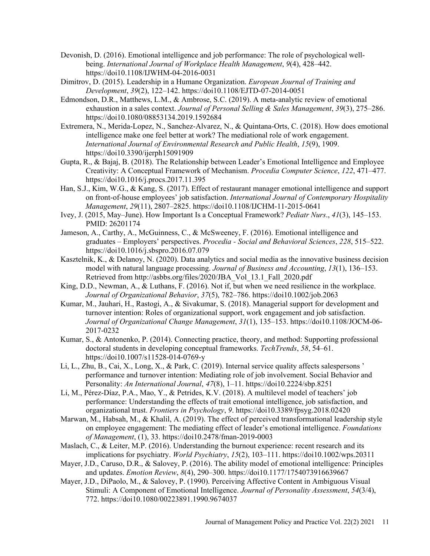- Devonish, D. (2016). Emotional intelligence and job performance: The role of psychological wellbeing. *International Journal of Workplace Health Management*, *9*(4), 428–442. https://doi10.1108/IJWHM-04-2016-0031
- Dimitrov, D. (2015). Leadership in a Humane Organization. *European Journal of Training and Development*, *39*(2), 122–142. https://doi10.1108/EJTD-07-2014-0051
- Edmondson, D.R., Matthews, L.M., & Ambrose, S.C. (2019). A meta-analytic review of emotional exhaustion in a sales context. *Journal of Personal Selling & Sales Management*, *39*(3), 275–286. https://doi10.1080/08853134.2019.1592684
- Extremera, N., Merida-Lopez, N., Sanchez-Alvarez, N., & Quintana-Orts, C. (2018). How does emotional intelligence make one feel better at work? The mediational role of work engagement. *International Journal of Environmental Research and Public Health*, *15*(9), 1909. https://doi10.3390/ijerph15091909
- Gupta, R., & Bajaj, B. (2018). The Relationship between Leader's Emotional Intelligence and Employee Creativity: A Conceptual Framework of Mechanism. *Procedia Computer Science*, *122*, 471–477. https://doi10.1016/j.procs.2017.11.395
- Han, S.J., Kim, W.G., & Kang, S. (2017). Effect of restaurant manager emotional intelligence and support on front-of-house employees' job satisfaction. *International Journal of Contemporary Hospitality Management*, *29*(11), 2807–2825. https://doi10.1108/IJCHM-11-2015-0641
- Ivey, J. (2015, May–June). How Important Is a Conceptual Framework? *Pediatr Nurs*., *41*(3), 145–153. PMID: 26201174
- Jameson, A., Carthy, A., McGuinness, C., & McSweeney, F. (2016). Emotional intelligence and graduates – Employers' perspectives. *Procedia - Social and Behavioral Sciences*, *228*, 515–522. https://doi10.1016/j.sbspro.2016.07.079
- Kasztelnik, K., & Delanoy, N. (2020). Data analytics and social media as the innovative business decision model with natural language processing. *Journal of Business and Accounting*, *13*(1), 136–153. Retrieved from http://asbbs.org/files/2020/JBA\_Vol\_13.1\_Fall\_2020.pdf
- King, D.D., Newman, A., & Luthans, F. (2016). Not if, but when we need resilience in the workplace. *Journal of Organizational Behavior*, *37*(5), 782–786. https://doi10.1002/job.2063
- Kumar, M., Jauhari, H., Rastogi, A., & Sivakumar, S. (2018). Managerial support for development and turnover intention: Roles of organizational support, work engagement and job satisfaction. *Journal of Organizational Change Management*, *31*(1), 135–153. https://doi10.1108/JOCM-06- 2017-0232
- Kumar, S., & Antonenko, P. (2014). Connecting practice, theory, and method: Supporting professional doctoral students in developing conceptual frameworks. *TechTrends*, *58*, 54–61. https://doi10.1007/s11528-014-0769-y
- Li, L., Zhu, B., Cai, X., Long, X., & Park, C. (2019). Internal service quality affects salespersons ' performance and turnover intention: Mediating role of job involvement. Social Behavior and Personality: *An International Journal*, *47*(8), 1–11. https://doi10.2224/sbp.8251
- Li, M., Pérez-Díaz, P.A., Mao, Y., & Petrides, K.V. (2018). A multilevel model of teachers' job performance: Understanding the effects of trait emotional intelligence, job satisfaction, and organizational trust. *Frontiers in Psychology*, *9*. https://doi10.3389/fpsyg.2018.02420
- Marwan, M., Habsah, M., & Khalil, A. (2019). The effect of perceived transformational leadership style on employee engagement: The mediating effect of leader's emotional intelligence. *Foundations of Management*, (1), 33. https://doi10.2478/fman-2019-0003
- Maslach, C., & Leiter, M.P. (2016). Understanding the burnout experience: recent research and its implications for psychiatry. *World Psychiatry*, *15*(2), 103–111. https://doi10.1002/wps.20311
- Mayer, J.D., Caruso, D.R., & Salovey, P. (2016). The ability model of emotional intelligence: Principles and updates. *Emotion Review*, *8*(4), 290–300. https://doi10.1177/1754073916639667
- Mayer, J.D., DiPaolo, M., & Salovey, P. (1990). Perceiving Affective Content in Ambiguous Visual Stimuli: A Component of Emotional Intelligence. *Journal of Personality Assessment*, *54*(3/4), 772. https://doi10.1080/00223891.1990.9674037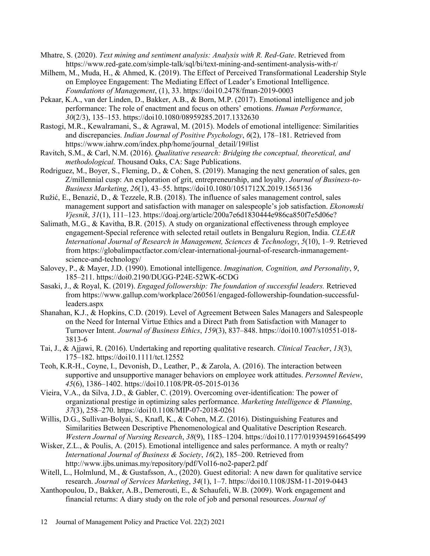Mhatre, S. (2020). *Text mining and sentiment analysis: Analysis with R. Red-Gate*. Retrieved from https://www.red-gate.com/simple-talk/sql/bi/text-mining-and-sentiment-analysis-with-r/

- Milhem, M., Muda, H., & Ahmed, K. (2019). The Effect of Perceived Transformational Leadership Style on Employee Engagement: The Mediating Effect of Leader's Emotional Intelligence. *Foundations of Management*, (1), 33. https://doi10.2478/fman-2019-0003
- Pekaar, K.A., van der Linden, D., Bakker, A.B., & Born, M.P. (2017). Emotional intelligence and job performance: The role of enactment and focus on others' emotions. *Human Performance*, *30*(2/3), 135–153. https://doi10.1080/08959285.2017.1332630
- Rastogi, M.R., Kewalramani, S., & Agrawal, M. (2015). Models of emotional intelligence: Similarities and discrepancies. *Indian Journal of Positive Psychology*, *6*(2), 178–181. Retrieved from https://www.iahrw.com/index.php/home/journal\_detail/19#list
- Ravitch, S.M., & Carl, N.M. (2016). *Qualitative research: Bridging the conceptual, theoretical, and methodological.* Thousand Oaks, CA: Sage Publications.
- Rodriguez, M., Boyer, S., Fleming, D., & Cohen, S. (2019). Managing the next generation of sales, gen Z/millennial cusp: An exploration of grit, entrepreneurship, and loyalty. *Journal of Business-to-Business Marketing*, *26*(1), 43–55. https://doi10.1080/1051712X.2019.1565136
- Ružić, E., Benazić, D., & Tezzele, R.B. (2018). The influence of sales management control, sales management support and satisfaction with manager on salespeople's job satisfaction. *Ekonomski Vjesnik*, *31*(1), 111–123. https://doaj.org/article/200a7e6d1830444e986ca850f7e5d06e?
- Salimath, M.G., & Kavitha, B.R. (2015). A study on organizational effectiveness through employee engagement-Special reference with selected retail outlets in Bengaluru Region, India. *CLEAR International Journal of Research in Management, Sciences & Technology*, *5*(10), 1–9. Retrieved from https://globalimpactfactor.com/clear-international-journal-of-research-inmanagementscience-and-technology/
- Salovey, P., & Mayer, J.D. (1990). Emotional intelligence. *Imagination, Cognition, and Personality*, *9*, 185–211. https://doi0.2190/DUGG-P24E-52WK-6CDG
- Sasaki, J., & Royal, K. (2019). *Engaged followership: The foundation of successful leaders.* Retrieved from https://www.gallup.com/workplace/260561/engaged-followership-foundation-successfulleaders.aspx
- Shanahan, K.J., & Hopkins, C.D. (2019). Level of Agreement Between Sales Managers and Salespeople on the Need for Internal Virtue Ethics and a Direct Path from Satisfaction with Manager to Turnover Intent. *Journal of Business Ethics*, *159*(3), 837–848. https://doi10.1007/s10551-018- 3813-6
- Tai, J., & Ajjawi, R. (2016). Undertaking and reporting qualitative research. *Clinical Teacher*, *13*(3), 175–182. https://doi10.1111/tct.12552
- Teoh, K.R-H., Coyne, I., Devonish, D., Leather, P., & Zarola, A. (2016). The interaction between supportive and unsupportive manager behaviors on employee work attitudes. *Personnel Review*, *45*(6), 1386–1402. https://doi10.1108/PR-05-2015-0136
- Vieira, V.A., da Silva, J.D., & Gabler, C. (2019). Overcoming over-identification: The power of organizational prestige in optimizing sales performance. *Marketing Intelligence & Planning*, *37*(3), 258–270. https://doi10.1108/MIP-07-2018-0261
- Willis, D.G., Sullivan-Bolyai, S., Knafl, K., & Cohen, M.Z. (2016). Distinguishing Features and Similarities Between Descriptive Phenomenological and Qualitative Description Research. *Western Journal of Nursing Research*, *38*(9), 1185–1204. https://doi10.1177/0193945916645499
- Wisker, Z.L., & Poulis, A. (2015). Emotional intelligence and sales performance. A myth or realty? *International Journal of Business & Society*, *16*(2), 185–200. Retrieved from http://www.ijbs.unimas.my/repository/pdf/Vol16-no2-paper2.pdf
- Witell, L., Holmlund, M., & Gustafsson, A., (2020). Guest editorial: A new dawn for qualitative service research. *Journal of Services Marketing*, *34*(1), 1–7. https://doi10.1108/JSM-11-2019-0443
- Xanthopoulou, D., Bakker, A.B., Demerouti, E., & Schaufeli, W.B. (2009). Work engagement and financial returns: A diary study on the role of job and personal resources. *Journal of*